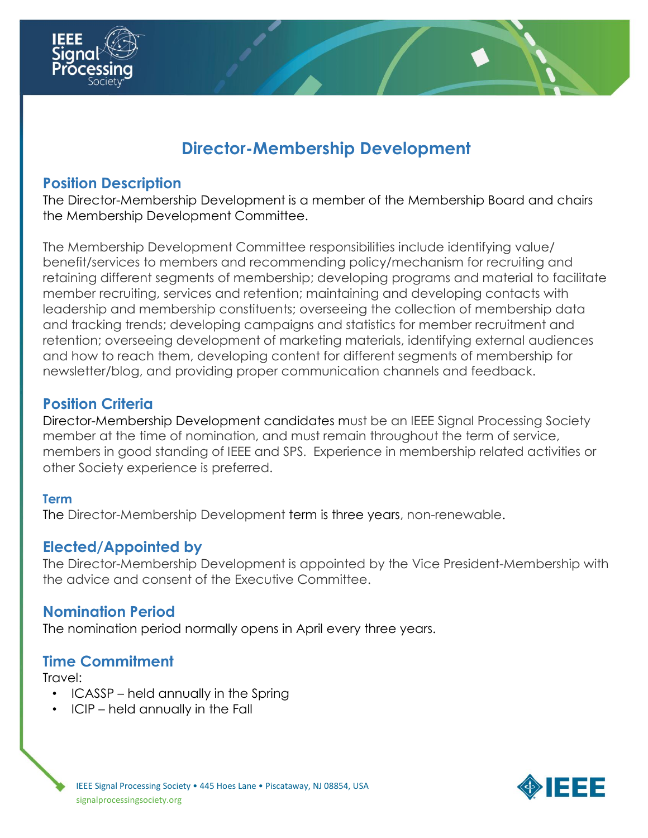

# **Director-Membership Development**

### **Position Description**

The Director-Membership Development is a member of the Membership Board and chairs the Membership Development Committee.

The Membership Development Committee responsibilities include identifying value/ benefit/services to members and recommending policy/mechanism for recruiting and retaining different segments of membership; developing programs and material to facilitate member recruiting, services and retention; maintaining and developing contacts with leadership and membership constituents; overseeing the collection of membership data and tracking trends; developing campaigns and statistics for member recruitment and retention; overseeing development of marketing materials, identifying external audiences and how to reach them, developing content for different segments of membership for newsletter/blog, and providing proper communication channels and feedback.

#### **Position Criteria**

Director-Membership Development candidates must be an IEEE Signal Processing Society member at the time of nomination, and must remain throughout the term of service, members in good standing of IEEE and SPS. Experience in membership related activities or other Society experience is preferred.

#### **Term**

The Director-Membership Development term is three years, non-renewable.

#### **Elected/Appointed by**

The Director-Membership Development is appointed by the Vice President-Membership with the advice and consent of the Executive Committee.

# **Nomination Period**

The nomination period normally opens in April every three years.

# **Time Commitment**

Travel:

- ICASSP held annually in the Spring
- ICIP held annually in the Fall

**SIEEE**